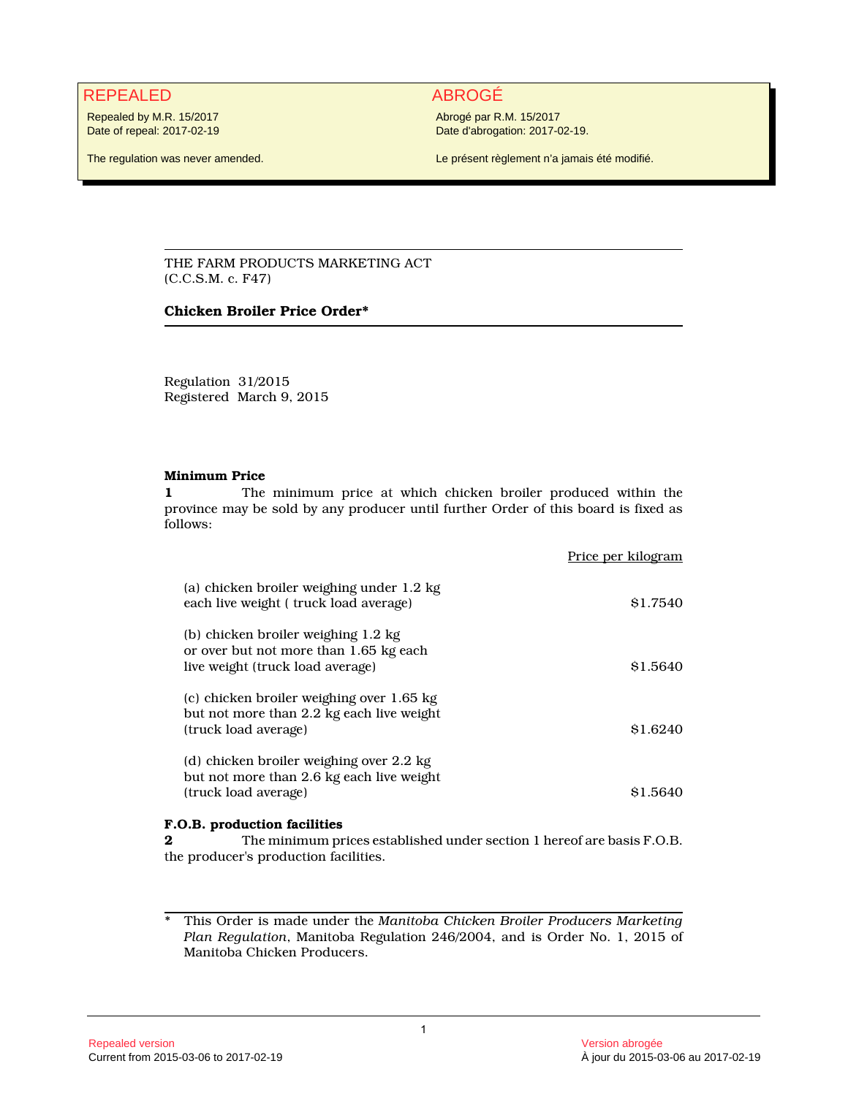# REPEALED ABROGÉ

Repealed by M.R. 15/2017 Date of repeal: 2017-02-19

The regulation was never amended.

Abrogé par R.M. 15/2017 Date d'abrogation: 2017-02-19.

Le présent règlement n'a jamais été modifié.

THE FARM PRODUCTS MARKETING ACT (C.C.S.M. c. F47)

### **Chicken Broiler Price Order\***

Regulation 31/2015 Registered March 9, 2015

### **Minimum Price**

**1** The minimum price at which chicken broiler produced within the province may be sold by any producer until further Order of this board is fixed as follows:

|                                                                                                                   | Price per kilogram |
|-------------------------------------------------------------------------------------------------------------------|--------------------|
| (a) chicken broiler weighing under 1.2 kg<br>each live weight (truck load average)                                | \$1.7540           |
| (b) chicken broiler weighing 1.2 kg<br>or over but not more than 1.65 kg each<br>live weight (truck load average) | \$1.5640           |
| (c) chicken broiler weighing over 1.65 kg<br>but not more than 2.2 kg each live weight<br>(truck load average)    | \$1.6240           |
| (d) chicken broiler weighing over 2.2 kg<br>but not more than 2.6 kg each live weight<br>(truck load average)     | \$1.5640           |

## **F.O.B. production facilities**

**2** The minimum prices established under section 1 hereof are basis F.O.B. the producer's production facilities.

\* This Order is made under the *Manitoba Chicken Broiler Producers Marketing Plan Regulation*, Manitoba Regulation 246/2004, and is Order No. 1, 2015 of Manitoba Chicken Producers.